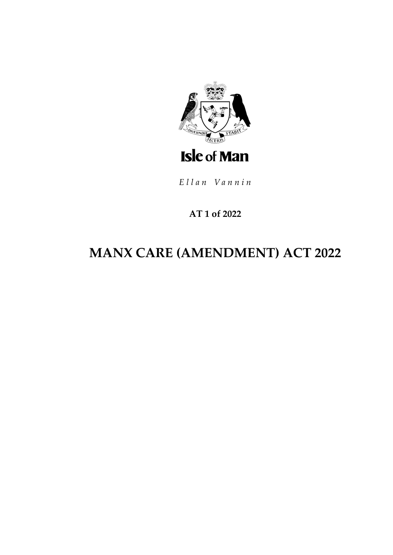

Ellan Vannin

## AT 1 of 2022

# **MANX CARE (AMENDMENT) ACT 2022**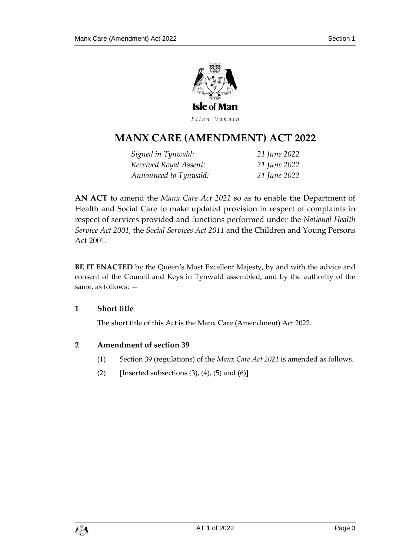

Ellan Vannin

# **MANX CARE (AMENDMENT ) ACT 2022**

*Signed in Tynwald: 21 June 2022 Received Royal Assent: 21 June 2022 Announced to Tynwald: 21 June 2022*

**AN ACT** to amend the *Manx Care Act 2021* so as to enable the Department of Health and Social Care to make updated provision in respect of complaints in respect of services provided and functions performed under the *National Health Service Act 2001*, the *Social Services Act 2011* and the Children and Young Persons Act 2001.

**BE IT ENACTED** by the Queen's Most Excellent Majesty, by and with the advice and consent of the Council and Keys in Tynwald assembled, and by the authority of the same, as follows: —

#### **1 Short title**

The short title of this Act is the Manx Care (Amendment) Act 2022.

#### **2 Amendment of section 39**

- (1) Section 39 (regulations) of the *Manx Care Act 2021* is amended as follows.
- (2) [Inserted subsections  $(3)$ ,  $(4)$ ,  $(5)$  and  $(6)$ ]